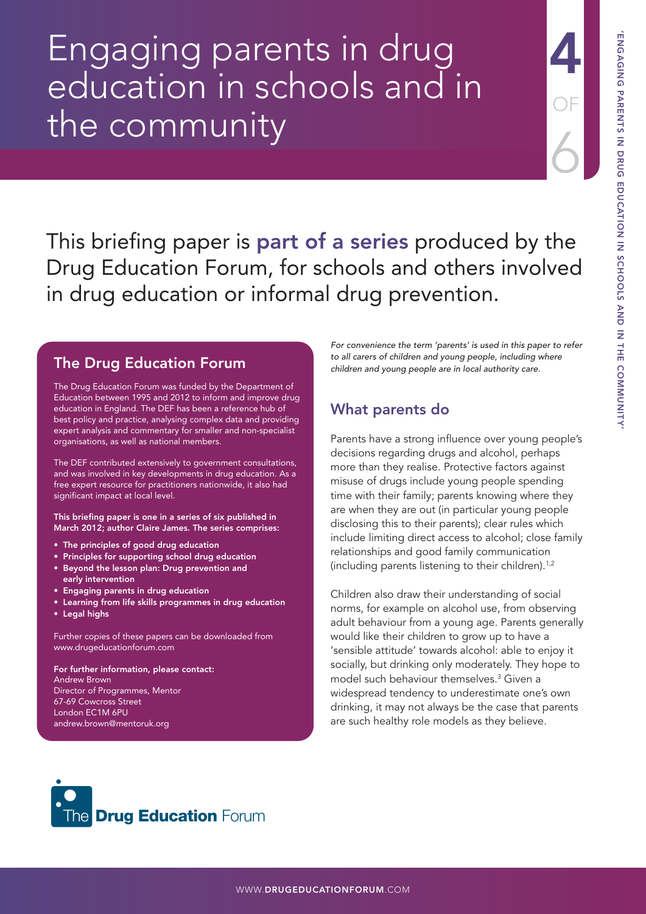# Engaging parents in drug education in schools and in the community

This briefing paper is **part of a series** produced by the Drug Education Forum, for schools and others involved in drug education or informal drug prevention.

## The Drug Education Forum

The Drug Education Forum was funded by the Department of Education between 1995 and 2012 to inform and improve drug education in England. The DEF has been a reference hub of best policy and practice, analysing complex data and providing expert analysis and commentary for smaller and non-specialist organisations, as well as national members.

The DEF contributed extensively to government consultations, and was involved in key developments in drug education. As a free expert resource for practitioners nationwide, it also had significant impact at local level.

This briefing paper is one in a series of six published in March 2012; author Claire James. The series comprises:

- The principles of good drug education
- Principles for supporting school drug education
- Beyond the lesson plan: Drug prevention and early intervention
- Engaging parents in drug education
- Learning from life skills programmes in drug education
- Legal highs

Further copies of these papers can be downloaded from [www.drugeducationforum.com](http://www.drugeducationforum.com) 

For further information, please contact: Andrew Brown Director of Programmes, Mentor 67-69 Cowcross Street London EC1M 6PU [andrew.brown@mentoruk.org](mailto:andrew.brown@mentoruk.org)

For convenience the term 'parents' is used in this paper to refer to all carers of children and young people, including where children and young people are in local authority care.

# What parents do

Parents have a strong influence over young people's decisions regarding drugs and alcohol, perhaps more than they realise. Protective factors against misuse of drugs include young people spending time with their family; parents knowing where they are when they are out (in particular young people disclosing this to their parents); clear rules which include limiting direct access to alcohol; close family relationships and good family communication (including parents listening to their children).1,2

Children also draw their understanding of social norms, for example on alcohol use, from observing adult behaviour from a young age. Parents generally would like their children to grow up to have a 'sensible attitude' towards alcohol: able to enjoy it socially, but drinking only moderately. They hope to model such behaviour themselves.3 Given a widespread tendency to underestimate one's own drinking, it may not always be the case that parents are such healthy role models as they believe.



4

OF

6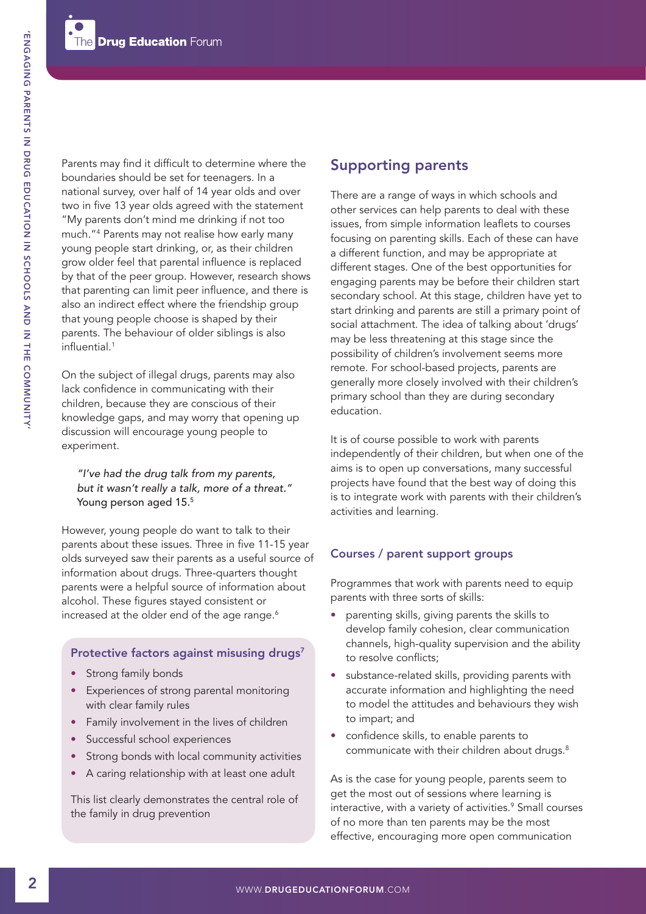Parents may find it difficult to determine where the boundaries should be set for teenagers. In a national survey, over half of 14 year olds and over two in five 13 year olds agreed with the statement "My parents don't mind me drinking if not too much."4 Parents may not realise how early many young people start drinking, or, as their children grow older feel that parental influence is replaced by that of the peer group. However, research shows that parenting can limit peer influence, and there is also an indirect effect where the friendship group that young people choose is shaped by their parents. The behaviour of older siblings is also influential.1

On the subject of illegal drugs, parents may also lack confidence in communicating with their children, because they are conscious of their knowledge gaps, and may worry that opening up discussion will encourage young people to experiment.

"I've had the drug talk from my parents, but it wasn't really a talk, more of a threat." Young person aged 15.5

However, young people do want to talk to their parents about these issues. Three in five 11-15 year olds surveyed saw their parents as a useful source of information about drugs. Three-quarters thought parents were a helpful source of information about alcohol. These figures stayed consistent or increased at the older end of the age range.<sup>6</sup>

#### Protective factors against misusing drugs<sup>7</sup>

- Strong family bonds
- Experiences of strong parental monitoring with clear family rules
- Family involvement in the lives of children
- Successful school experiences
- Strong bonds with local community activities
- A caring relationship with at least one adult

This list clearly demonstrates the central role of the family in drug prevention

## Supporting parents

There are a range of ways in which schools and other services can help parents to deal with these issues, from simple information leaflets to courses focusing on parenting skills. Each of these can have a different function, and may be appropriate at different stages. One of the best opportunities for engaging parents may be before their children start secondary school. At this stage, children have yet to start drinking and parents are still a primary point of social attachment. The idea of talking about 'drugs' may be less threatening at this stage since the possibility of children's involvement seems more remote. For school-based projects, parents are generally more closely involved with their children's primary school than they are during secondary education.

It is of course possible to work with parents independently of their children, but when one of the aims is to open up conversations, many successful projects have found that the best way of doing this is to integrate work with parents with their children's activities and learning.

#### Courses / parent support groups

Programmes that work with parents need to equip parents with three sorts of skills:

- parenting skills, giving parents the skills to develop family cohesion, clear communication channels, high-quality supervision and the ability to resolve conflicts;
- substance-related skills, providing parents with accurate information and highlighting the need to model the attitudes and behaviours they wish to impart; and
- confidence skills, to enable parents to communicate with their children about drugs.<sup>8</sup>

As is the case for young people, parents seem to get the most out of sessions where learning is interactive, with a variety of activities.<sup>9</sup> Small courses of no more than ten parents may be the most effective, encouraging more open communication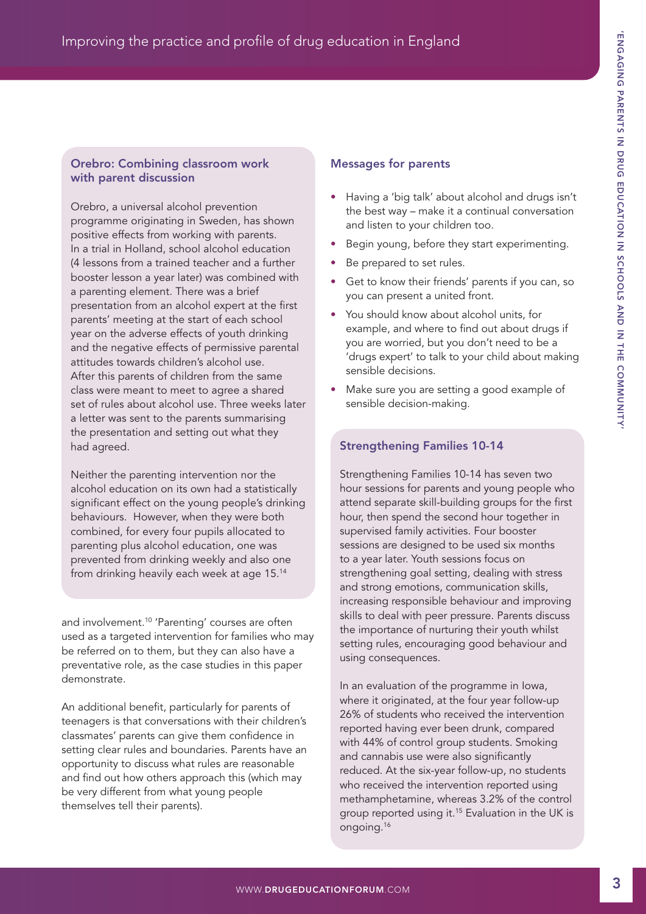### Orebro: Combining classroom work with parent discussion

Orebro, a universal alcohol prevention programme originating in Sweden, has shown positive effects from working with parents. In a trial in Holland, school alcohol education (4 lessons from a trained teacher and a further booster lesson a year later) was combined with a parenting element. There was a brief presentation from an alcohol expert at the first parents' meeting at the start of each school year on the adverse effects of youth drinking and the negative effects of permissive parental attitudes towards children's alcohol use. After this parents of children from the same class were meant to meet to agree a shared set of rules about alcohol use. Three weeks later a letter was sent to the parents summarising the presentation and setting out what they had agreed.

Neither the parenting intervention nor the alcohol education on its own had a statistically significant effect on the young people's drinking behaviours. However, when they were both combined, for every four pupils allocated to parenting plus alcohol education, one was prevented from drinking weekly and also one from drinking heavily each week at age 15.14

and involvement.<sup>10</sup> 'Parenting' courses are often used as a targeted intervention for families who may be referred on to them, but they can also have a preventative role, as the case studies in this paper demonstrate.

An additional benefit, particularly for parents of teenagers is that conversations with their children's classmates' parents can give them confidence in setting clear rules and boundaries. Parents have an opportunity to discuss what rules are reasonable and find out how others approach this (which may be very different from what young people themselves tell their parents).

## Messages for parents

- Having a 'big talk' about alcohol and drugs isn't the best way – make it a continual conversation and listen to your children too.
- Begin young, before they start experimenting.
- Be prepared to set rules.
- Get to know their friends' parents if you can, so you can present a united front.
- You should know about alcohol units, for example, and where to find out about drugs if you are worried, but you don't need to be a 'drugs expert' to talk to your child about making sensible decisions.
- Make sure you are setting a good example of sensible decision-making.

## Strengthening Families 10-14

Strengthening Families 10-14 has seven two hour sessions for parents and young people who attend separate skill-building groups for the first hour, then spend the second hour together in supervised family activities. Four booster sessions are designed to be used six months to a year later. Youth sessions focus on strengthening goal setting, dealing with stress and strong emotions, communication skills, increasing responsible behaviour and improving skills to deal with peer pressure. Parents discuss the importance of nurturing their youth whilst setting rules, encouraging good behaviour and using consequences.

In an evaluation of the programme in Iowa, where it originated, at the four year follow-up 26% of students who received the intervention reported having ever been drunk, compared with 44% of control group students. Smoking and cannabis use were also significantly reduced. At the six-year follow-up, no students who received the intervention reported using methamphetamine, whereas 3.2% of the control group reported using it.15 Evaluation in the UK is ongoing.16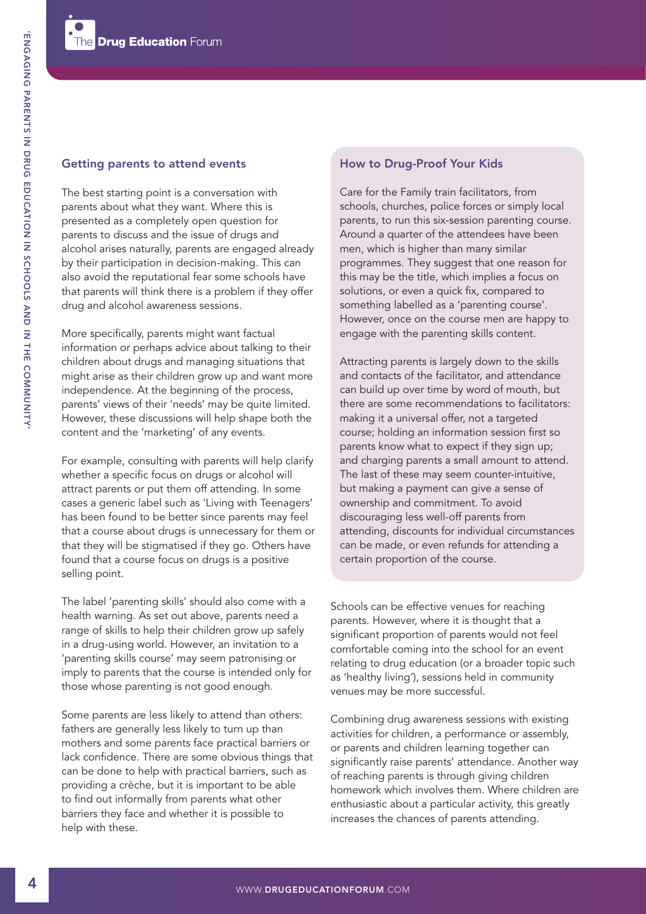#### Getting parents to attend events

The best starting point is a conversation with parents about what they want. Where this is presented as a completely open question for parents to discuss and the issue of drugs and alcohol arises naturally, parents are engaged already by their participation in decision-making. This can also avoid the reputational fear some schools have that parents will think there is a problem if they offer drug and alcohol awareness sessions.

More specifically, parents might want factual information or perhaps advice about talking to their children about drugs and managing situations that might arise as their children grow up and want more independence. At the beginning of the process, parents' views of their 'needs' may be quite limited. However, these discussions will help shape both the content and the 'marketing' of any events.

For example, consulting with parents will help clarify whether a specific focus on drugs or alcohol will attract parents or put them off attending. In some cases a generic label such as 'Living with Teenagers' has been found to be better since parents may feel that a course about drugs is unnecessary for them or that they will be stigmatised if they go. Others have found that a course focus on drugs is a positive selling point.

The label 'parenting skills' should also come with a health warning. As set out above, parents need a range of skills to help their children grow up safely in a drug-using world. However, an invitation to a 'parenting skills course' may seem patronising or imply to parents that the course is intended only for those whose parenting is not good enough.

Some parents are less likely to attend than others: fathers are generally less likely to turn up than mothers and some parents face practical barriers or lack confidence. There are some obvious things that can be done to help with practical barriers, such as providing a crèche, but it is important to be able to find out informally from parents what other barriers they face and whether it is possible to help with these.

#### How to Drug-Proof Your Kids

Care for the Family train facilitators, from schools, churches, police forces or simply local parents, to run this six-session parenting course. Around a quarter of the attendees have been men, which is higher than many similar programmes. They suggest that one reason for this may be the title, which implies a focus on solutions, or even a quick fix, compared to something labelled as a 'parenting course'. However, once on the course men are happy to engage with the parenting skills content.

Attracting parents is largely down to the skills and contacts of the facilitator, and attendance can build up over time by word of mouth, but there are some recommendations to facilitators: making it a universal offer, not a targeted course; holding an information session first so parents know what to expect if they sign up; and charging parents a small amount to attend. The last of these may seem counter-intuitive, but making a payment can give a sense of ownership and commitment. To avoid discouraging less well-off parents from attending, discounts for individual circumstances can be made, or even refunds for attending a certain proportion of the course.

Schools can be effective venues for reaching parents. However, where it is thought that a significant proportion of parents would not feel comfortable coming into the school for an event relating to drug education (or a broader topic such as 'healthy living'), sessions held in community venues may be more successful.

Combining drug awareness sessions with existing activities for children, a performance or assembly, or parents and children learning together can significantly raise parents' attendance. Another way of reaching parents is through giving children homework which involves them. Where children are enthusiastic about a particular activity, this greatly increases the chances of parents attending.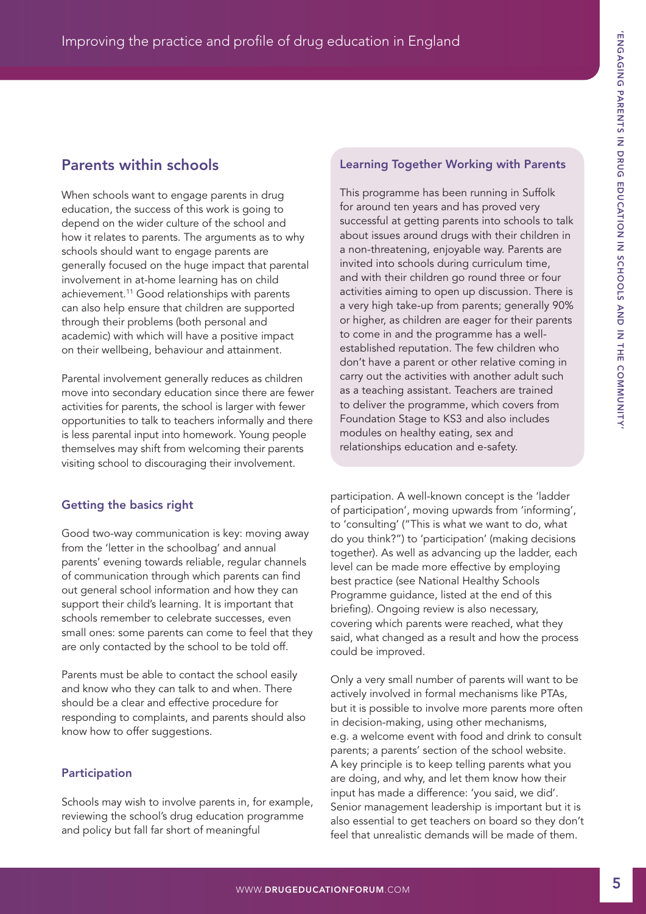# Parents within schools

When schools want to engage parents in drug education, the success of this work is going to depend on the wider culture of the school and how it relates to parents. The arguments as to why schools should want to engage parents are generally focused on the huge impact that parental involvement in at-home learning has on child achievement.11 Good relationships with parents can also help ensure that children are supported through their problems (both personal and academic) with which will have a positive impact on their wellbeing, behaviour and attainment.

Parental involvement generally reduces as children move into secondary education since there are fewer activities for parents, the school is larger with fewer opportunities to talk to teachers informally and there is less parental input into homework. Young people themselves may shift from welcoming their parents visiting school to discouraging their involvement.

## Getting the basics right

Good two-way communication is key: moving away from the 'letter in the schoolbag' and annual parents' evening towards reliable, regular channels of communication through which parents can find out general school information and how they can support their child's learning. It is important that schools remember to celebrate successes, even small ones: some parents can come to feel that they are only contacted by the school to be told off.

Parents must be able to contact the school easily and know who they can talk to and when. There should be a clear and effective procedure for responding to complaints, and parents should also know how to offer suggestions.

## Participation

Schools may wish to involve parents in, for example, reviewing the school's drug education programme and policy but fall far short of meaningful

## Learning Together Working with Parents

This programme has been running in Suffolk for around ten years and has proved very successful at getting parents into schools to talk about issues around drugs with their children in a non-threatening, enjoyable way. Parents are invited into schools during curriculum time, and with their children go round three or four activities aiming to open up discussion. There is a very high take-up from parents; generally 90% or higher, as children are eager for their parents to come in and the programme has a wellestablished reputation. The few children who don't have a parent or other relative coming in carry out the activities with another adult such as a teaching assistant. Teachers are trained to deliver the programme, which covers from Foundation Stage to KS3 and also includes modules on healthy eating, sex and relationships education and e-safety.

participation. A well-known concept is the 'ladder of participation', moving upwards from 'informing', to 'consulting' ("This is what we want to do, what do you think?") to 'participation' (making decisions together). As well as advancing up the ladder, each level can be made more effective by employing best practice (see National Healthy Schools Programme guidance, listed at the end of this briefing). Ongoing review is also necessary, covering which parents were reached, what they said, what changed as a result and how the process could be improved.

Only a very small number of parents will want to be actively involved in formal mechanisms like PTAs, but it is possible to involve more parents more often in decision-making, using other mechanisms, e.g. a welcome event with food and drink to consult parents; a parents' section of the school website. A key principle is to keep telling parents what you are doing, and why, and let them know how their input has made a difference: 'you said, we did'. Senior management leadership is important but it is also essential to get teachers on board so they don't feel that unrealistic demands will be made of them.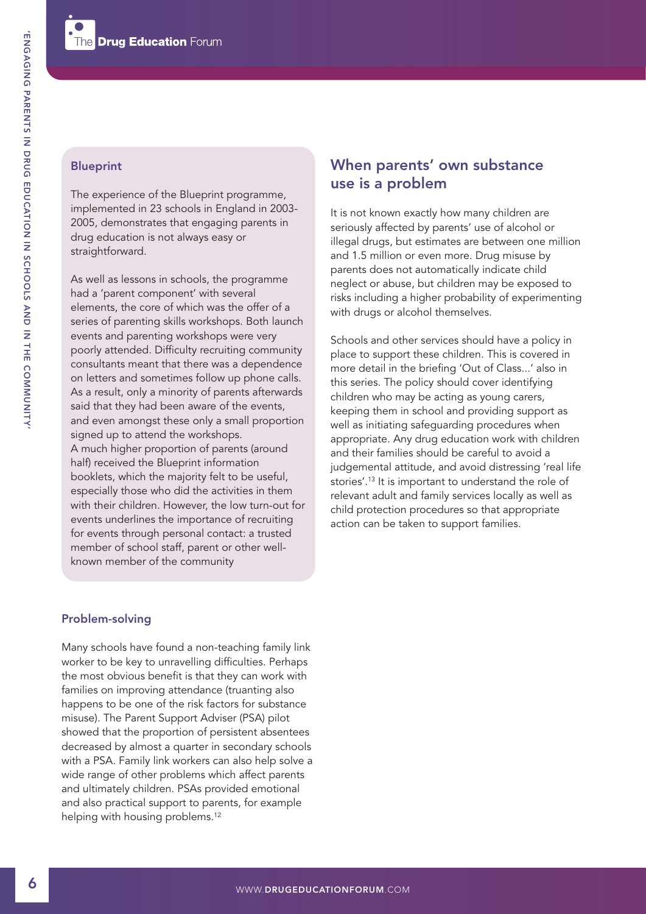#### Blueprint

The experience of the Blueprint programme, implemented in 23 schools in England in 2003- 2005, demonstrates that engaging parents in drug education is not always easy or straightforward.

As well as lessons in schools, the programme had a 'parent component' with several elements, the core of which was the offer of a series of parenting skills workshops. Both launch events and parenting workshops were very poorly attended. Difficulty recruiting community consultants meant that there was a dependence on letters and sometimes follow up phone calls. As a result, only a minority of parents afterwards said that they had been aware of the events, and even amongst these only a small proportion signed up to attend the workshops. A much higher proportion of parents (around half) received the Blueprint information booklets, which the majority felt to be useful, especially those who did the activities in them with their children. However, the low turn-out for events underlines the importance of recruiting for events through personal contact: a trusted member of school staff, parent or other wellknown member of the community

# When parents' own substance use is a problem

It is not known exactly how many children are seriously affected by parents' use of alcohol or illegal drugs, but estimates are between one million and 1.5 million or even more. Drug misuse by parents does not automatically indicate child neglect or abuse, but children may be exposed to risks including a higher probability of experimenting with drugs or alcohol themselves.

Schools and other services should have a policy in place to support these children. This is covered in more detail in the briefing 'Out of Class...' also in this series. The policy should cover identifying children who may be acting as young carers, keeping them in school and providing support as well as initiating safeguarding procedures when appropriate. Any drug education work with children and their families should be careful to avoid a judgemental attitude, and avoid distressing 'real life stories'.13 It is important to understand the role of relevant adult and family services locally as well as child protection procedures so that appropriate action can be taken to support families.

#### Problem-solving

Many schools have found a non-teaching family link worker to be key to unravelling difficulties. Perhaps the most obvious benefit is that they can work with families on improving attendance (truanting also happens to be one of the risk factors for substance misuse). The Parent Support Adviser (PSA) pilot showed that the proportion of persistent absentees decreased by almost a quarter in secondary schools with a PSA. Family link workers can also help solve a wide range of other problems which affect parents and ultimately children. PSAs provided emotional and also practical support to parents, for example helping with housing problems.<sup>12</sup>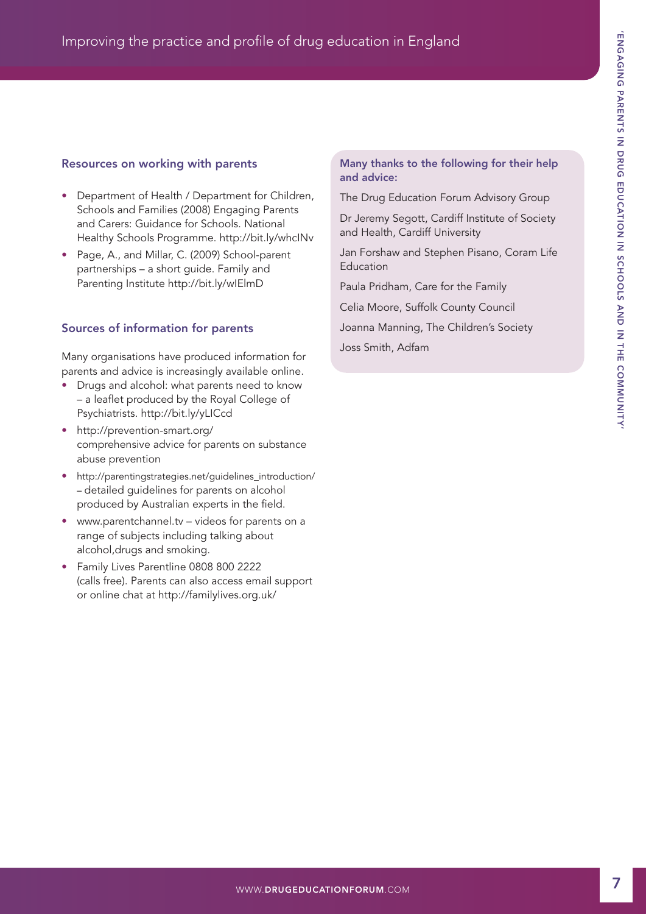## Resources on working with parents

- Department of Health / Department for Children, Schools and Families (2008) Engaging Parents and Carers: Guidance for Schools. National Healthy Schools Programme.<http://bit.ly/whcINv>
- Page, A., and Millar, C. (2009) School-parent partnerships – a short guide. Family and Parenting Institute <http://bit.ly/wIElmD>

## Sources of information for parents

Many organisations have produced information for parents and advice is increasingly available online.

- Drugs and alcohol: what parents need to know – a leaflet produced by the Royal College of Psychiatrists. <http://bit.ly/yLICcd>
- <http://prevention-smart.org/> comprehensive advice for parents on substance abuse prevention
- [http://parentingstrategies.net/guidelines\\_introduction/](http://parentingstrategies.net/guidelines_introduction/) – detailed guidelines for parents on alcohol produced by Australian experts in the field.
- [www.parentchannel.tv –](http://www.parentchannel.tv) videos for parents on a range of subjects including talking about alcohol,drugs and smoking.
- Family Lives Parentline 0808 800 2222 (calls free). Parents can also access email support or online chat at <http://familylives.org.uk/>

#### Many thanks to the following for their help and advice:

The Drug Education Forum Advisory Group

Dr Jeremy Segott, Cardiff Institute of Society and Health, Cardiff University

Jan Forshaw and Stephen Pisano, Coram Life Education

Paula Pridham, Care for the Family

Celia Moore, Suffolk County Council

Joanna Manning, The Children's Society

Joss Smith, Adfam